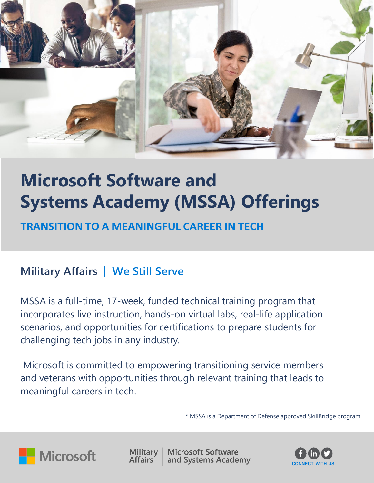

# **Microsoft Software and Systems Academy (MSSA) Offerings**

### **TRANSITION TO A MEANINGFUL CAREER IN TECH**

# **Military Affairs | We Still Serve**

MSSA is a full-time, 17-week, funded technical training program that incorporates live instruction, hands-on virtual labs, real-life application scenarios, and opportunities for certifications to prepare students for challenging tech jobs in any industry.

Microsoft is committed to empowering transitioning service members and veterans with opportunities through relevant training that leads to meaningful careers in tech.

\* MSSA is a Department of Defense approved SkillBridge program



**Military Affairs** 

**Microsoft Software** and Systems Academy